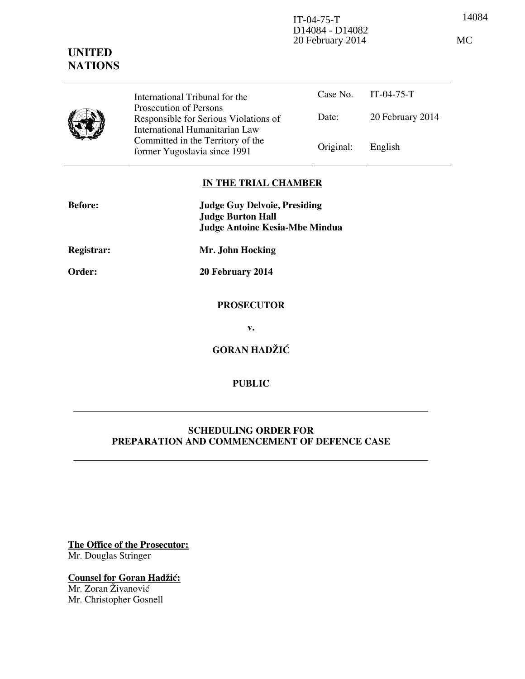14084 IT-04-75-T D14084 - D14082 20 February 2014 MC

|  | International Tribunal for the                                                                    |           | Case No. IT-04-75-T |
|--|---------------------------------------------------------------------------------------------------|-----------|---------------------|
|  | Prosecution of Persons<br>Responsible for Serious Violations of<br>International Humanitarian Law | Date:     | 20 February 2014    |
|  | Committed in the Territory of the<br>former Yugoslavia since 1991                                 | Original: | English             |

## **IN THE TRIAL CHAMBER**

| <b>Before:</b> | <b>Judge Guy Delvoie, Presiding</b><br><b>Judge Burton Hall</b> |  |  |
|----------------|-----------------------------------------------------------------|--|--|
|                | <b>Judge Antoine Kesia-Mbe Mindua</b>                           |  |  |
| Registrar:     | Mr. John Hocking                                                |  |  |
| Order:         | 20 February 2014                                                |  |  |
|                |                                                                 |  |  |
|                | <b>PROSECUTOR</b>                                               |  |  |
|                | v.                                                              |  |  |
|                | <b>GORAN HADŽIĆ</b>                                             |  |  |
|                |                                                                 |  |  |
|                | <b>PUBLIC</b>                                                   |  |  |

## **SCHEDULING ORDER FOR PREPARATION AND COMMENCEMENT OF DEFENCE CASE**

**The Office of the Prosecutor:** Mr. Douglas Stringer

**Counsel for Goran Hadžić:** Mr. Zoran Živanović Mr. Christopher Gosnell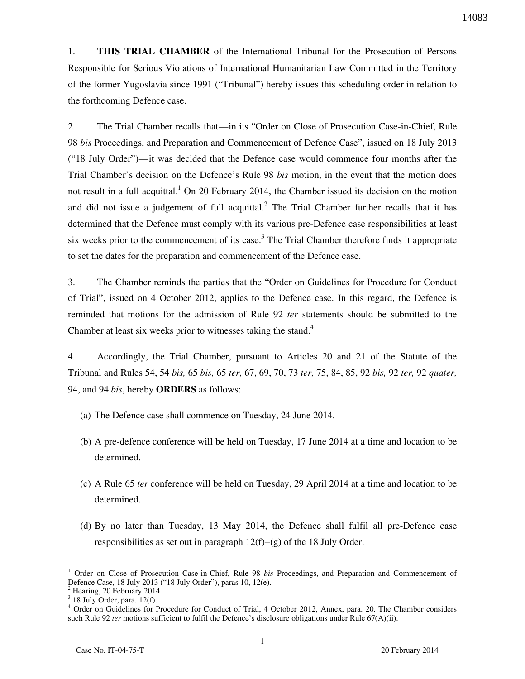1. **THIS TRIAL CHAMBER** of the International Tribunal for the Prosecution of Persons Responsible for Serious Violations of International Humanitarian Law Committed in the Territory of the former Yugoslavia since 1991 ("Tribunal") hereby issues this scheduling order in relation to the forthcoming Defence case.

2. The Trial Chamber recalls that—in its "Order on Close of Prosecution Case-in-Chief, Rule 98 *bis* Proceedings, and Preparation and Commencement of Defence Case", issued on 18 July 2013 ("18 July Order")—it was decided that the Defence case would commence four months after the Trial Chamber's decision on the Defence's Rule 98 *bis* motion, in the event that the motion does not result in a full acquittal.<sup>1</sup> On 20 February 2014, the Chamber issued its decision on the motion and did not issue a judgement of full acquittal.<sup>2</sup> The Trial Chamber further recalls that it has determined that the Defence must comply with its various pre-Defence case responsibilities at least six weeks prior to the commencement of its case.<sup>3</sup> The Trial Chamber therefore finds it appropriate to set the dates for the preparation and commencement of the Defence case.

3. The Chamber reminds the parties that the "Order on Guidelines for Procedure for Conduct of Trial", issued on 4 October 2012, applies to the Defence case. In this regard, the Defence is reminded that motions for the admission of Rule 92 *ter* statements should be submitted to the Chamber at least six weeks prior to witnesses taking the stand.<sup>4</sup>

4. Accordingly, the Trial Chamber, pursuant to Articles 20 and 21 of the Statute of the Tribunal and Rules 54, 54 *bis,* 65 *bis,* 65 *ter,* 67, 69, 70, 73 *ter,* 75, 84, 85, 92 *bis,* 92 *ter,* 92 *quater,*  94, and 94 *bis*, hereby **ORDERS** as follows:

- (a) The Defence case shall commence on Tuesday, 24 June 2014.
- (b) A pre-defence conference will be held on Tuesday, 17 June 2014 at a time and location to be determined.
- (c) A Rule 65 *ter* conference will be held on Tuesday, 29 April 2014 at a time and location to be determined.
- (d) By no later than Tuesday, 13 May 2014, the Defence shall fulfil all pre-Defence case responsibilities as set out in paragraph 12(f)–(g) of the 18 July Order.

 $\overline{a}$ 

<sup>1</sup> Order on Close of Prosecution Case-in-Chief, Rule 98 *bis* Proceedings, and Preparation and Commencement of Defence Case, 18 July 2013 ("18 July Order"), paras 10, 12(e).

<sup>2</sup> Hearing, 20 February 2014.

 $3$  18 July Order, para. 12(f).

<sup>&</sup>lt;sup>4</sup> Order on Guidelines for Procedure for Conduct of Trial, 4 October 2012, Annex, para. 20. The Chamber considers such Rule 92 *ter* motions sufficient to fulfil the Defence's disclosure obligations under Rule 67(A)(ii).